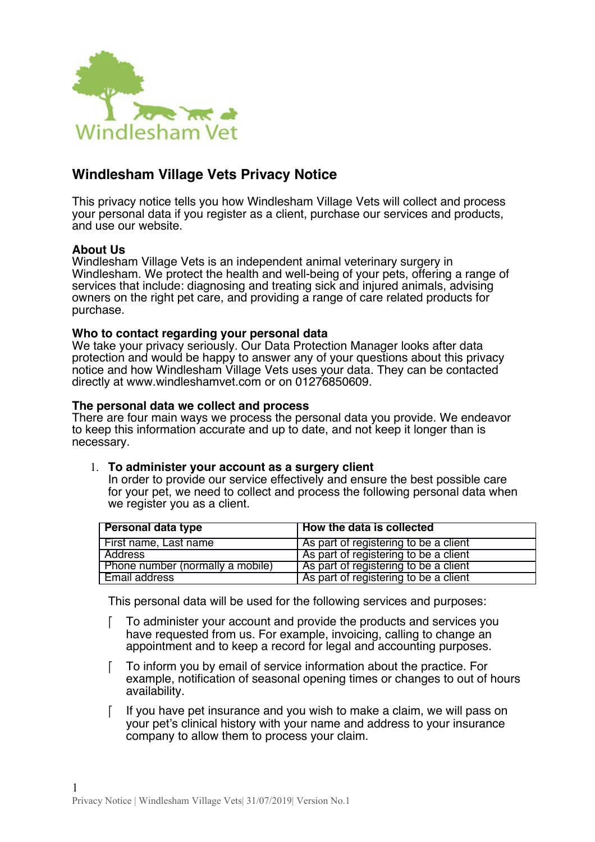

# **Windlesham Village Vets Privacy Notice**

This privacy notice tells you how Windlesham Village Vets will collect and process your personal data if you register as a client, purchase our services and products, and use our website.

## **About Us**

Windlesham Village Vets is an independent animal veterinary surgery in Windlesham. We protect the health and well-being of your pets, offering a range of services that include: diagnosing and treating sick and injured animals, advising owners on the right pet care, and providing a range of care related products for purchase.

### **Who to contact regarding your personal data**

We take your privacy seriously. Our Data Protection Manager looks after data protection and would be happy to answer any of your questions about this privacy notice and how Windlesham Village Vets uses your data. They can be contacted directly at www.windleshamvet.com or on 01276850609.

#### **The personal data we collect and process**

There are four main ways we process the personal data you provide. We endeavor to keep this information accurate and up to date, and not keep it longer than is necessary.

### 1. **To administer your account as a surgery client**

In order to provide our service effectively and ensure the best possible care for your pet, we need to collect and process the following personal data when we register you as a client.

| Personal data type               | How the data is collected             |
|----------------------------------|---------------------------------------|
| First name, Last name            | As part of registering to be a client |
| Address                          | As part of registering to be a client |
| Phone number (normally a mobile) | As part of registering to be a client |
| <b>Email address</b>             | As part of registering to be a client |

This personal data will be used for the following services and purposes:

- To administer your account and provide the products and services you have requested from us. For example, invoicing, calling to change an appointment and to keep a record for legal and accounting purposes.
- To inform you by email of service information about the practice. For example, notifcation of seasonal opening times or changes to out of hours availability.
- $\lceil$  If you have pet insurance and you wish to make a claim, we will pass on your pet's clinical history with your name and address to your insurance company to allow them to process your claim.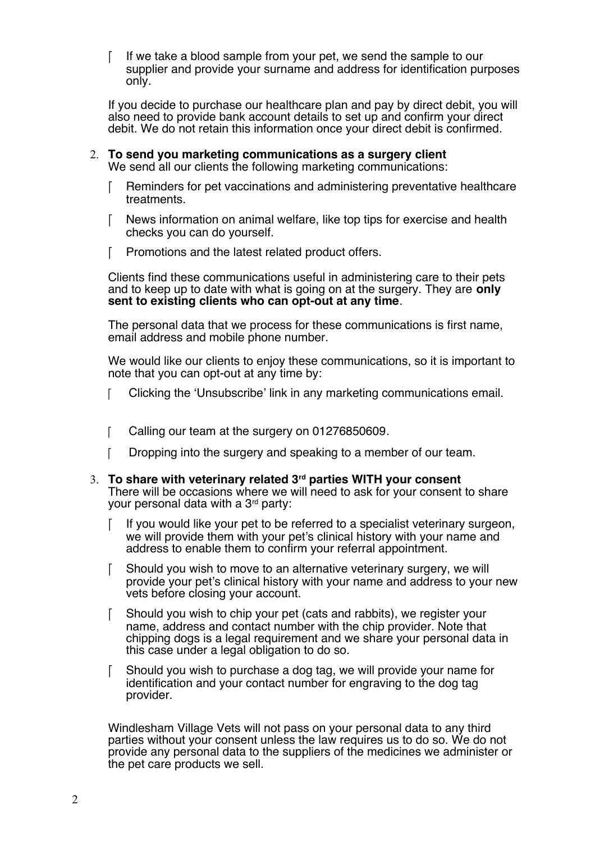If we take a blood sample from your pet, we send the sample to our supplier and provide your surname and address for identification purposes only.

If you decide to purchase our healthcare plan and pay by direct debit, you will also need to provide bank account details to set up and confrm your direct debit. We do not retain this information once your direct debit is confirmed.

- 2. **To send you marketing communications as a surgery client** We send all our clients the following marketing communications:
	- Reminders for pet vaccinations and administering preventative healthcare treatments.
	- News information on animal welfare, like top tips for exercise and health checks you can do yourself.
	- F Promotions and the latest related product offers.

Clients fnd these communications useful in administering care to their pets and to keep up to date with what is going on at the surgery. They are **only sent to existing clients who can opt-out at any time**.

The personal data that we process for these communications is first name, email address and mobile phone number.

We would like our clients to enjoy these communications, so it is important to note that you can opt-out at any time by:

- Clicking the 'Unsubscribe' link in any marketing communications email.
- [ Calling our team at the surgery on 01276850609.
- T Dropping into the surgery and speaking to a member of our team.
- 3. **To share with veterinary related 3rd parties WITH your consent** There will be occasions where we will need to ask for your consent to share your personal data with a 3<sup>rd</sup> party:
	- $\lceil$  If you would like your pet to be referred to a specialist veterinary surgeon, we will provide them with your pet's clinical history with your name and address to enable them to confrm your referral appointment.
	- Should you wish to move to an alternative veterinary surgery, we will provide your pet's clinical history with your name and address to your new vets before closing your account.
	- Should you wish to chip your pet (cats and rabbits), we register your name, address and contact number with the chip provider. Note that chipping dogs is a legal requirement and we share your personal data in this case under a legal obligation to do so.
	- Should you wish to purchase a dog tag, we will provide your name for identifcation and your contact number for engraving to the dog tag provider.

Windlesham Village Vets will not pass on your personal data to any third parties without your consent unless the law requires us to do so. We do not provide any personal data to the suppliers of the medicines we administer or the pet care products we sell.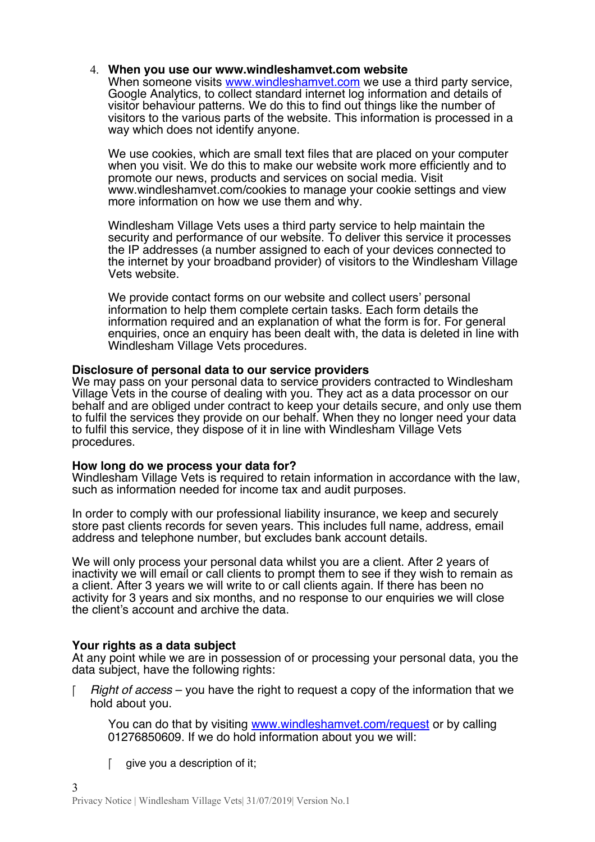### 4. **When you use our www.windleshamvet.com website**

When someone visits [www.windleshamvet.com](http://www.windleshamvet.com/) we use a third party service, Google Analytics, to collect standard internet log information and details of visitor behaviour patterns. We do this to find out things like the number of visitors to the various parts of the website. This information is processed in a way which does not identify anyone.

We use cookies, which are small text fles that are placed on your computer when you visit. We do this to make our website work more efficiently and to promote our news, products and services on social media. Visit www.windleshamvet.com/cookies to manage your cookie settings and view more information on how we use them and why.

Windlesham Village Vets uses a third party service to help maintain the security and performance of our website. To deliver this service it processes the IP addresses (a number assigned to each of your devices connected to the internet by your broadband provider) of visitors to the Windlesham Village Vets website.

We provide contact forms on our website and collect users' personal information to help them complete certain tasks. Each form details the information required and an explanation of what the form is for. For general enquiries, once an enquiry has been dealt with, the data is deleted in line with Windlesham Village Vets procedures.

## **Disclosure of personal data to our service providers**

We may pass on your personal data to service providers contracted to Windlesham Village Vets in the course of dealing with you. They act as a data processor on our behalf and are obliged under contract to keep your details secure, and only use them to fulfl the services they provide on our behalf. When they no longer need your data to fulfl this service, they dispose of it in line with Windlesham Village Vets procedures.

### **How long do we process your data for?**

Windlesham Village Vets is required to retain information in accordance with the law, such as information needed for income tax and audit purposes.

In order to comply with our professional liability insurance, we keep and securely store past clients records for seven years. This includes full name, address, email address and telephone number, but excludes bank account details.

We will only process your personal data whilst you are a client. After 2 years of inactivity we will email or call clients to prompt them to see if they wish to remain as a client. After 3 years we will write to or call clients again. If there has been no activity for 3 years and six months, and no response to our enquiries we will close the client's account and archive the data.

## **Your rights as a data subject**

At any point while we are in possession of or processing your personal data, you the data subject, have the following rights:

Right of access – you have the right to request a copy of the information that we hold about you.

You can do that by visiting [www.windleshamvet.com/request](http://www.windleshamvet.com/request) or by calling 01276850609. If we do hold information about you we will:

 $\int$  give you a description of it;